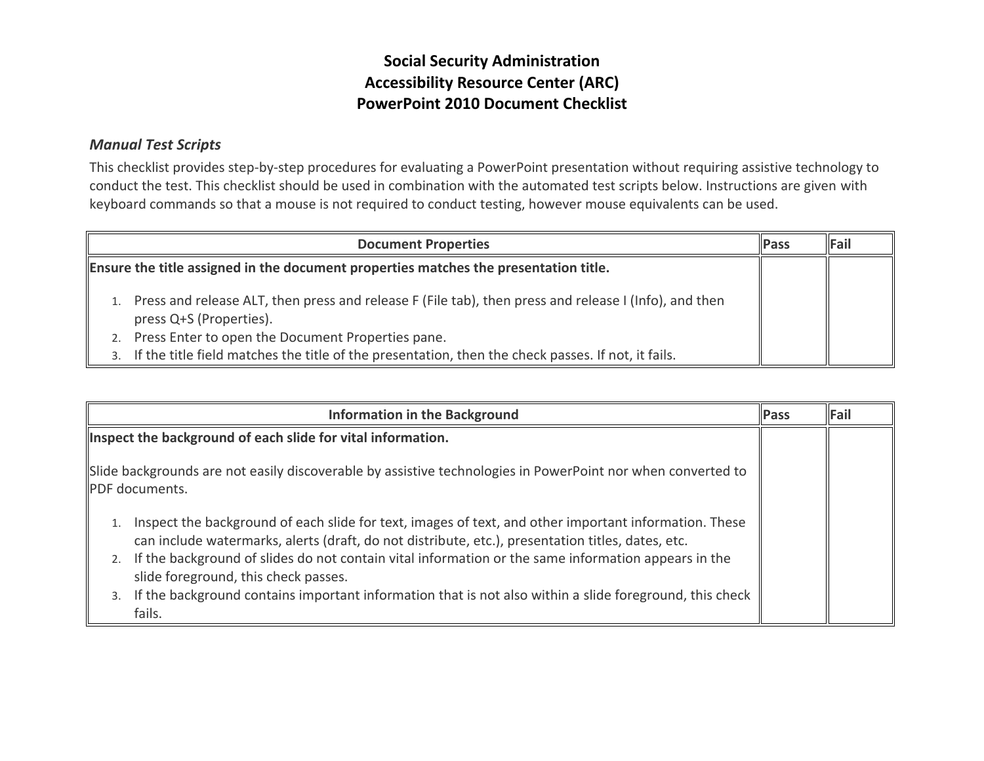# **Social Security Administration Accessibility Resource Center (ARC) PowerPoint 2010 Document Checklist**

#### *Manual Test Scripts*

This checklist provides step-by-step procedures for evaluating a PowerPoint presentation without requiring assistive technology to conduct the test. This checklist should be used in combination with the automated test scripts below. Instructions are given with keyboard commands so that a mouse is not required to conduct testing, however mouse equivalents can be used.

| <b>Document Properties</b><br><b>Pass</b> |                                                                                                                                  |  | Fail |
|-------------------------------------------|----------------------------------------------------------------------------------------------------------------------------------|--|------|
|                                           | Ensure the title assigned in the document properties matches the presentation title.                                             |  |      |
|                                           | Press and release ALT, then press and release F (File tab), then press and release I (Info), and then<br>press Q+S (Properties). |  |      |
|                                           | Press Enter to open the Document Properties pane.                                                                                |  |      |
|                                           | If the title field matches the title of the presentation, then the check passes. If not, it fails.                               |  |      |

| <b>Information in the Background</b>                                                                                                                                                                                                                                                                                                                                                                                                                                             | <b>Pass</b> | Fail |
|----------------------------------------------------------------------------------------------------------------------------------------------------------------------------------------------------------------------------------------------------------------------------------------------------------------------------------------------------------------------------------------------------------------------------------------------------------------------------------|-------------|------|
| Inspect the background of each slide for vital information.                                                                                                                                                                                                                                                                                                                                                                                                                      |             |      |
| Slide backgrounds are not easily discoverable by assistive technologies in PowerPoint nor when converted to<br><b>PDF</b> documents.                                                                                                                                                                                                                                                                                                                                             |             |      |
| Inspect the background of each slide for text, images of text, and other important information. These<br>can include watermarks, alerts (draft, do not distribute, etc.), presentation titles, dates, etc.<br>If the background of slides do not contain vital information or the same information appears in the<br>2.<br>slide foreground, this check passes.<br>If the background contains important information that is not also within a slide foreground, this check<br>3. |             |      |
| fails.                                                                                                                                                                                                                                                                                                                                                                                                                                                                           |             |      |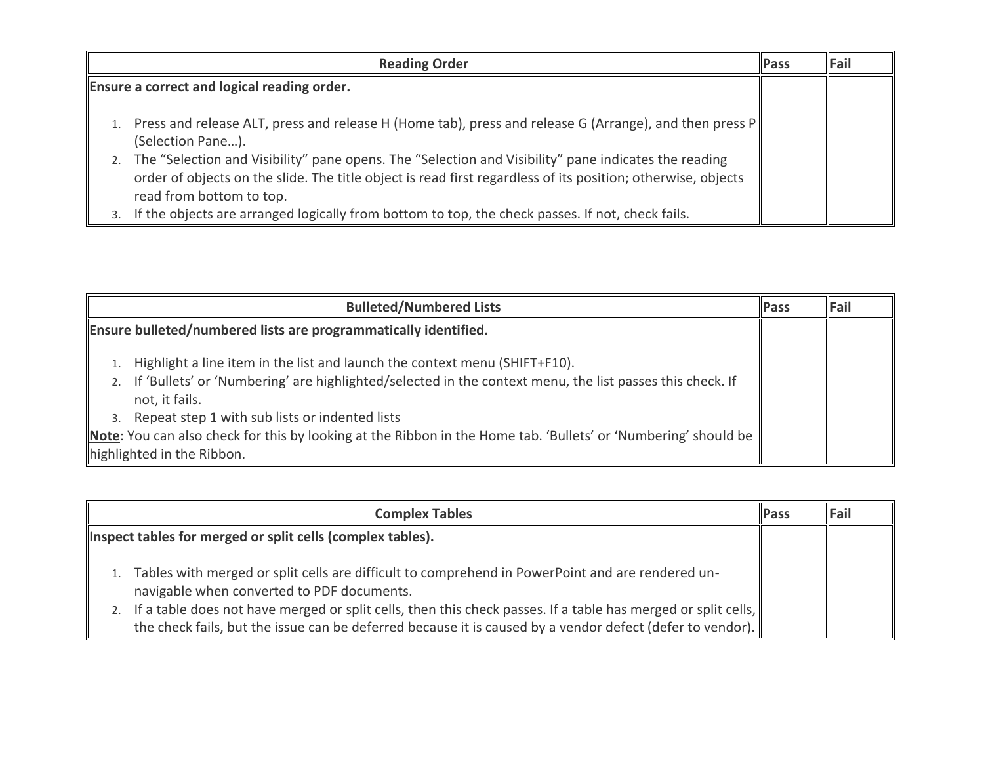| <b>Reading Order</b>                                                                                                                                                                                                                                                                                                                                                               |  | <b>Pass</b> | Fail |
|------------------------------------------------------------------------------------------------------------------------------------------------------------------------------------------------------------------------------------------------------------------------------------------------------------------------------------------------------------------------------------|--|-------------|------|
| Ensure a correct and logical reading order.                                                                                                                                                                                                                                                                                                                                        |  |             |      |
| Press and release ALT, press and release H (Home tab), press and release G (Arrange), and then press P<br>(Selection Pane).<br>2. The "Selection and Visibility" pane opens. The "Selection and Visibility" pane indicates the reading<br>order of objects on the slide. The title object is read first regardless of its position; otherwise, objects<br>read from bottom to top. |  |             |      |
| If the objects are arranged logically from bottom to top, the check passes. If not, check fails.                                                                                                                                                                                                                                                                                   |  |             |      |

| <b>Bulleted/Numbered Lists</b>                                                                                                                                                                                                                                                                                                                                                               | <b>Pass</b> | Fail |
|----------------------------------------------------------------------------------------------------------------------------------------------------------------------------------------------------------------------------------------------------------------------------------------------------------------------------------------------------------------------------------------------|-------------|------|
| Ensure bulleted/numbered lists are programmatically identified.                                                                                                                                                                                                                                                                                                                              |             |      |
| Highlight a line item in the list and launch the context menu (SHIFT+F10).<br>2. If 'Bullets' or 'Numbering' are highlighted/selected in the context menu, the list passes this check. If<br>not, it fails.<br>Repeat step 1 with sub lists or indented lists<br>3.<br><b>Note:</b> You can also check for this by looking at the Ribbon in the Home tab. 'Bullets' or 'Numbering' should be |             |      |
| highlighted in the Ribbon.                                                                                                                                                                                                                                                                                                                                                                   |             |      |

| <b>Complex Tables</b>                                                                                                                                                                                                                                                                                                                                                              | Pass | Fail |
|------------------------------------------------------------------------------------------------------------------------------------------------------------------------------------------------------------------------------------------------------------------------------------------------------------------------------------------------------------------------------------|------|------|
| Inspect tables for merged or split cells (complex tables).                                                                                                                                                                                                                                                                                                                         |      |      |
| Tables with merged or split cells are difficult to comprehend in PowerPoint and are rendered un-<br>navigable when converted to PDF documents.<br>2. If a table does not have merged or split cells, then this check passes. If a table has merged or split cells,   <br>the check fails, but the issue can be deferred because it is caused by a vendor defect (defer to vendor). |      |      |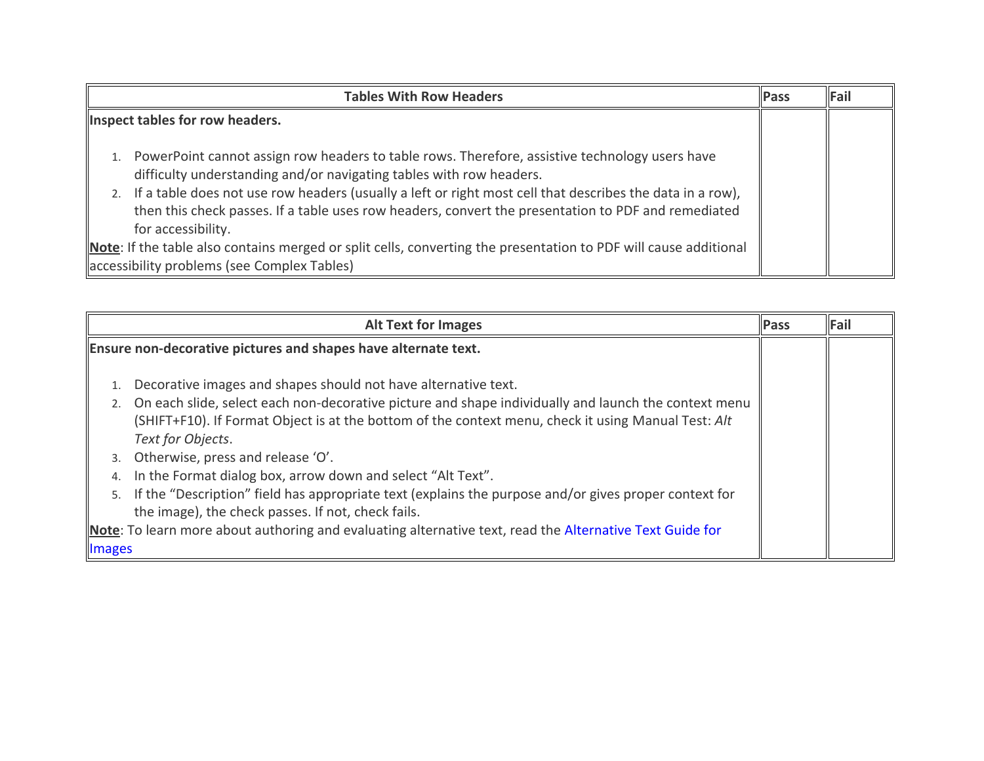| <b>Tables With Row Headers</b>                                                                                                                                                                                                                                                                                                                                                                                                                                                                                                                                                        | <b>Pass</b> | Fail |
|---------------------------------------------------------------------------------------------------------------------------------------------------------------------------------------------------------------------------------------------------------------------------------------------------------------------------------------------------------------------------------------------------------------------------------------------------------------------------------------------------------------------------------------------------------------------------------------|-------------|------|
| Inspect tables for row headers.                                                                                                                                                                                                                                                                                                                                                                                                                                                                                                                                                       |             |      |
| PowerPoint cannot assign row headers to table rows. Therefore, assistive technology users have<br>difficulty understanding and/or navigating tables with row headers.<br>2. If a table does not use row headers (usually a left or right most cell that describes the data in a row),<br>then this check passes. If a table uses row headers, convert the presentation to PDF and remediated<br>for accessibility.<br>Note: If the table also contains merged or split cells, converting the presentation to PDF will cause additional<br>accessibility problems (see Complex Tables) |             |      |

| <b>Alt Text for Images</b>                                                                                                                                                                                                                                                                                     | <b>Pass</b> | <b>Fail</b> |
|----------------------------------------------------------------------------------------------------------------------------------------------------------------------------------------------------------------------------------------------------------------------------------------------------------------|-------------|-------------|
| Ensure non-decorative pictures and shapes have alternate text.                                                                                                                                                                                                                                                 |             |             |
| Decorative images and shapes should not have alternative text.<br>1.<br>On each slide, select each non-decorative picture and shape individually and launch the context menu<br>2.<br>(SHIFT+F10). If Format Object is at the bottom of the context menu, check it using Manual Test: Alt<br>Text for Objects. |             |             |
| Otherwise, press and release 'O'.<br>3.<br>In the Format dialog box, arrow down and select "Alt Text".<br>4.                                                                                                                                                                                                   |             |             |
| If the "Description" field has appropriate text (explains the purpose and/or gives proper context for<br>5.<br>the image), the check passes. If not, check fails.                                                                                                                                              |             |             |
| Note: To learn more about authoring and evaluating alternative text, read the Alternative Text Guide for<br><b>Images</b>                                                                                                                                                                                      |             |             |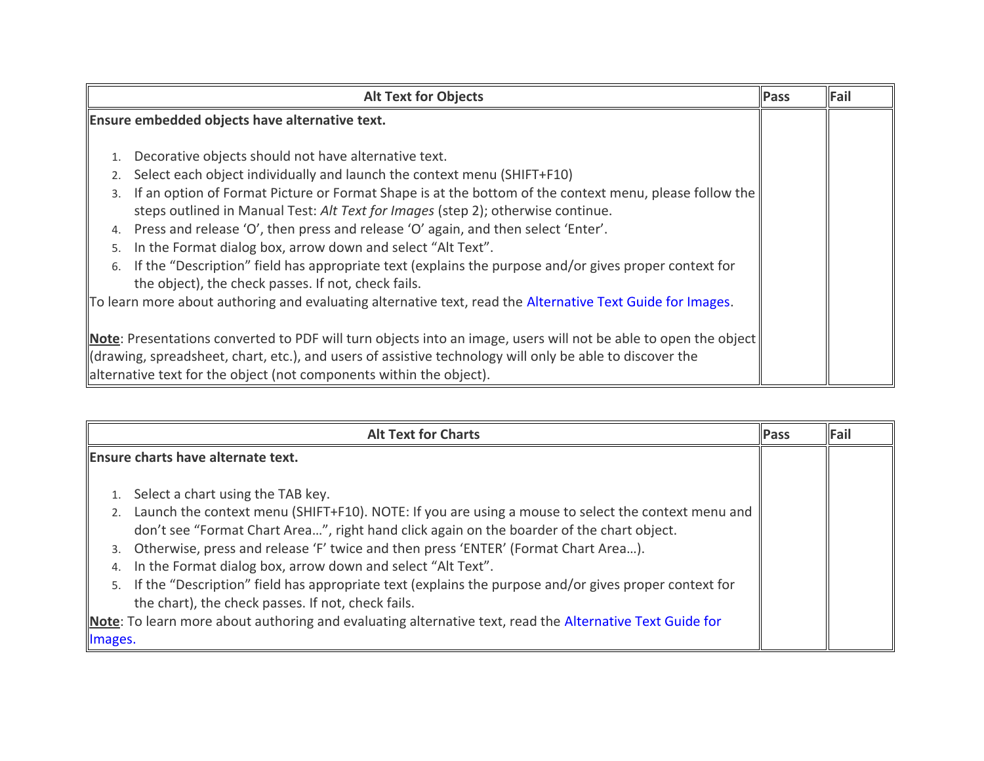| <b>Alt Text for Objects</b>                                                                                                                                                                                                                                                                                                                                                                                                                                                                                                                                                                                                                                               | <b>Pass</b> | $\ $ Fail |
|---------------------------------------------------------------------------------------------------------------------------------------------------------------------------------------------------------------------------------------------------------------------------------------------------------------------------------------------------------------------------------------------------------------------------------------------------------------------------------------------------------------------------------------------------------------------------------------------------------------------------------------------------------------------------|-------------|-----------|
| Ensure embedded objects have alternative text.                                                                                                                                                                                                                                                                                                                                                                                                                                                                                                                                                                                                                            |             |           |
| Decorative objects should not have alternative text.<br>Select each object individually and launch the context menu (SHIFT+F10)<br>2.<br>If an option of Format Picture or Format Shape is at the bottom of the context menu, please follow the<br>steps outlined in Manual Test: Alt Text for Images (step 2); otherwise continue.<br>Press and release 'O', then press and release 'O' again, and then select 'Enter'.<br>4.<br>In the Format dialog box, arrow down and select "Alt Text".<br>5.<br>If the "Description" field has appropriate text (explains the purpose and/or gives proper context for<br>6.<br>the object), the check passes. If not, check fails. |             |           |
| To learn more about authoring and evaluating alternative text, read the Alternative Text Guide for Images.                                                                                                                                                                                                                                                                                                                                                                                                                                                                                                                                                                |             |           |
| <b>Note:</b> Presentations converted to PDF will turn objects into an image, users will not be able to open the object<br>drawing, spreadsheet, chart, etc.), and users of assistive technology will only be able to discover the<br>alternative text for the object (not components within the object).                                                                                                                                                                                                                                                                                                                                                                  |             |           |

| <b>Alt Text for Charts</b>                                                                                                                                                                                                                                                                                                                                                                                                                                                                                                                                                                                                                                                                     | <b>IPass</b> | Fail |
|------------------------------------------------------------------------------------------------------------------------------------------------------------------------------------------------------------------------------------------------------------------------------------------------------------------------------------------------------------------------------------------------------------------------------------------------------------------------------------------------------------------------------------------------------------------------------------------------------------------------------------------------------------------------------------------------|--------------|------|
| Ensure charts have alternate text.                                                                                                                                                                                                                                                                                                                                                                                                                                                                                                                                                                                                                                                             |              |      |
| Select a chart using the TAB key.<br>2. Launch the context menu (SHIFT+F10). NOTE: If you are using a mouse to select the context menu and<br>don't see "Format Chart Area", right hand click again on the boarder of the chart object.<br>3. Otherwise, press and release 'F' twice and then press 'ENTER' (Format Chart Area).<br>In the Format dialog box, arrow down and select "Alt Text".<br>4.<br>5. If the "Description" field has appropriate text (explains the purpose and/or gives proper context for<br>the chart), the check passes. If not, check fails.<br>Note: To learn more about authoring and evaluating alternative text, read the Alternative Text Guide for<br>Images. |              |      |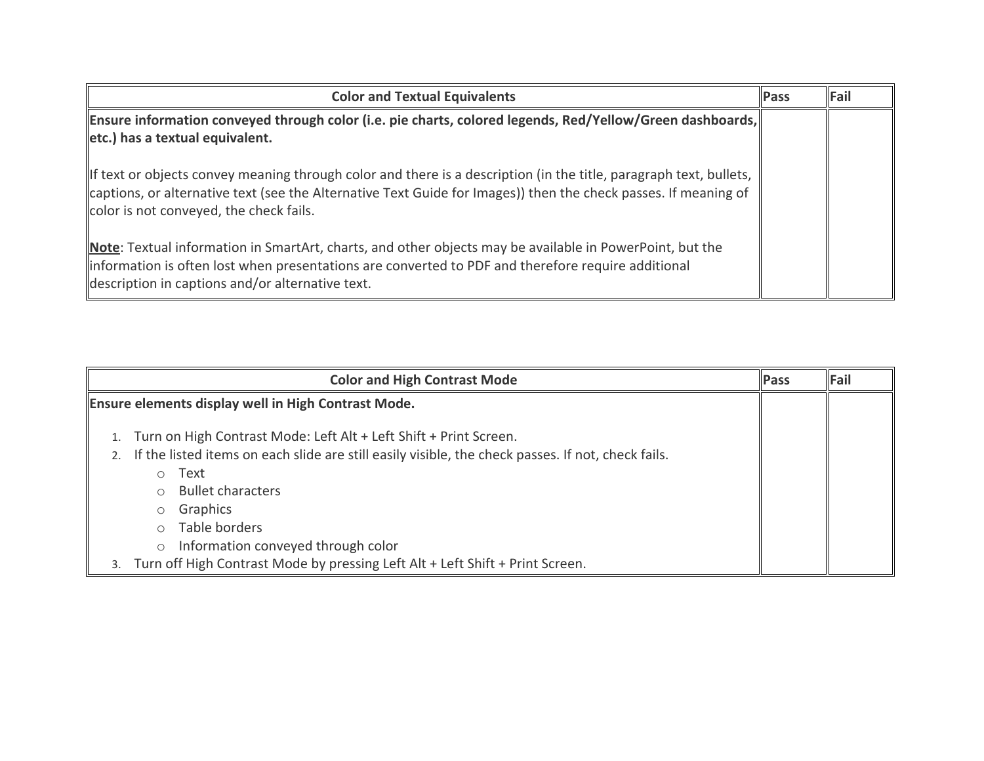| <b>Color and Textual Equivalents</b>                                                                                                                                                                                                                                             | <b>Pass</b> | Fail |
|----------------------------------------------------------------------------------------------------------------------------------------------------------------------------------------------------------------------------------------------------------------------------------|-------------|------|
| Ensure information conveyed through color (i.e. pie charts, colored legends, Red/Yellow/Green dashboards,   <br>etc.) has a textual equivalent.                                                                                                                                  |             |      |
| If text or objects convey meaning through color and there is a description (in the title, paragraph text, bullets,<br>captions, or alternative text (see the Alternative Text Guide for Images)) then the check passes. If meaning of<br>color is not conveyed, the check fails. |             |      |
| Note: Textual information in SmartArt, charts, and other objects may be available in PowerPoint, but the<br>information is often lost when presentations are converted to PDF and therefore require additional<br>description in captions and/or alternative text.               |             |      |

|    |            | <b>Color and High Contrast Mode</b>                                                                                                                                     | <b>Pass</b> | Fail |
|----|------------|-------------------------------------------------------------------------------------------------------------------------------------------------------------------------|-------------|------|
|    |            | Ensure elements display well in High Contrast Mode.                                                                                                                     |             |      |
|    |            | Turn on High Contrast Mode: Left Alt + Left Shift + Print Screen.<br>If the listed items on each slide are still easily visible, the check passes. If not, check fails. |             |      |
|    | $\bigcirc$ | Text                                                                                                                                                                    |             |      |
|    |            | <b>Bullet characters</b>                                                                                                                                                |             |      |
|    | $\circ$    | Graphics                                                                                                                                                                |             |      |
|    | $\bigcap$  | Table borders                                                                                                                                                           |             |      |
|    | $\circ$    | Information conveyed through color                                                                                                                                      |             |      |
| 3. |            | Turn off High Contrast Mode by pressing Left Alt + Left Shift + Print Screen.                                                                                           |             |      |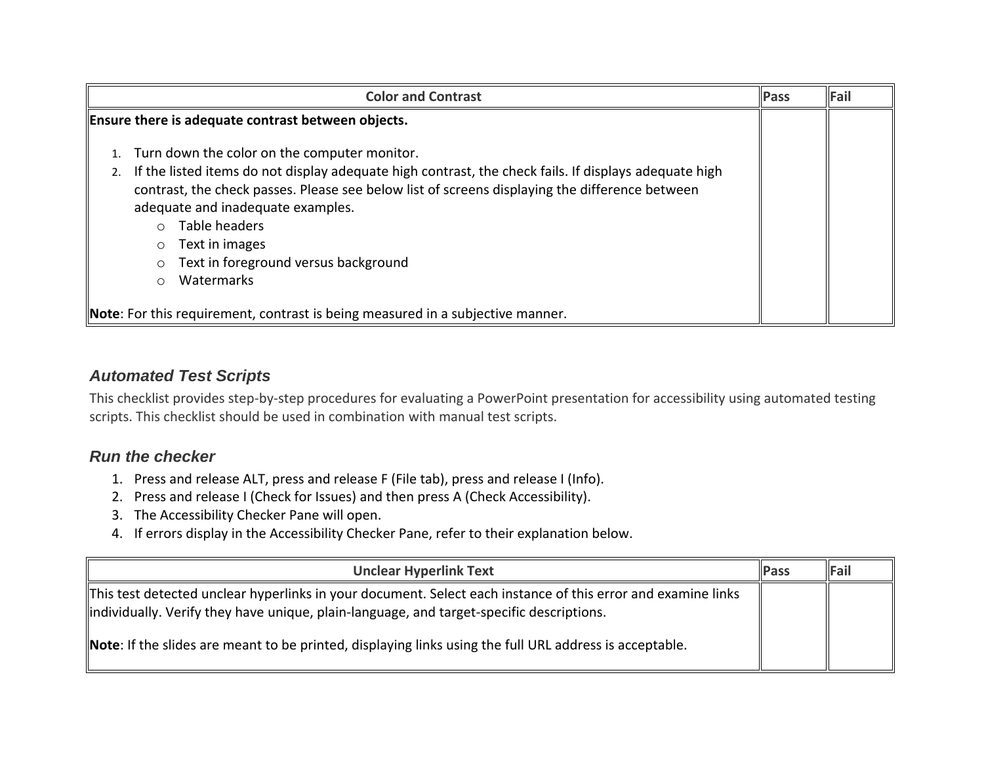| <b>Color and Contrast</b>                                                                                                                                                                                                                                                                                                                                                                                                                                                                                                          | <b>Pass</b> | Fail |
|------------------------------------------------------------------------------------------------------------------------------------------------------------------------------------------------------------------------------------------------------------------------------------------------------------------------------------------------------------------------------------------------------------------------------------------------------------------------------------------------------------------------------------|-------------|------|
| Ensure there is adequate contrast between objects.                                                                                                                                                                                                                                                                                                                                                                                                                                                                                 |             |      |
| Turn down the color on the computer monitor.<br>If the listed items do not display adequate high contrast, the check fails. If displays adequate high<br>2.<br>contrast, the check passes. Please see below list of screens displaying the difference between<br>adequate and inadequate examples.<br>Table headers<br>$\bigcap$<br>Text in images<br>$\circ$<br>Text in foreground versus background<br>$\circ$<br>Watermarks<br>$\circ$<br><b>Note:</b> For this requirement, contrast is being measured in a subjective manner. |             |      |

## **Automated Test Scripts**

This checklist provides step-by-step procedures for evaluating a PowerPoint presentation for accessibility using automated testing scripts. This checklist should be used in combination with manual test scripts.

## **Run the checker**

- 1. Press and release ALT, press and release F (File tab), press and release I (Info).
- 2. Press and release I (Check for Issues) and then press A (Check Accessibility).
- 3. The Accessibility Checker Pane will open.
- 4. If errors display in the Accessibility Checker Pane, refer to their explanation below.

| <b>Unclear Hyperlink Text</b>                                                                                                                                                                                                                                                                                               | <b>IPass</b> | Fail |
|-----------------------------------------------------------------------------------------------------------------------------------------------------------------------------------------------------------------------------------------------------------------------------------------------------------------------------|--------------|------|
| This test detected unclear hyperlinks in your document. Select each instance of this error and examine links<br>lindividually. Verify they have unique, plain-language, and target-specific descriptions.<br><b>Note:</b> If the slides are meant to be printed, displaying links using the full URL address is acceptable. |              |      |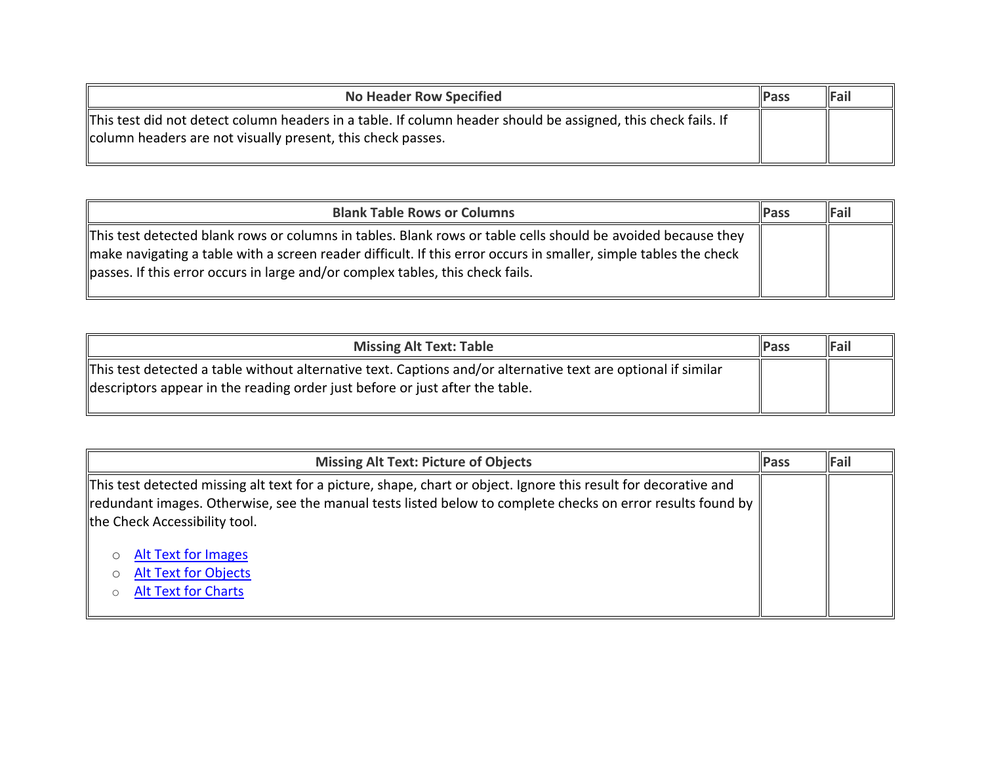| <b>No Header Row Specified</b>                                                                                                                                               | <b>IPass</b> | Fail |
|------------------------------------------------------------------------------------------------------------------------------------------------------------------------------|--------------|------|
| This test did not detect column headers in a table. If column header should be assigned, this check fails. If<br>column headers are not visually present, this check passes. |              |      |

| <b>Blank Table Rows or Columns</b>                                                                                                                                                                                                                                                                                  | <b>IPass</b> | Fail |
|---------------------------------------------------------------------------------------------------------------------------------------------------------------------------------------------------------------------------------------------------------------------------------------------------------------------|--------------|------|
| This test detected blank rows or columns in tables. Blank rows or table cells should be avoided because they"<br>make navigating a table with a screen reader difficult. If this error occurs in smaller, simple tables the check<br>passes. If this error occurs in large and/or complex tables, this check fails. |              |      |

| <b>Missing Alt Text: Table</b>                                                                                                                                                                | <b>Pass</b> | $\ $ Fail |
|-----------------------------------------------------------------------------------------------------------------------------------------------------------------------------------------------|-------------|-----------|
| This test detected a table without alternative text. Captions and/or alternative text are optional if similar<br>descriptors appear in the reading order just before or just after the table. |             |           |

| <b>Missing Alt Text: Picture of Objects</b>                                                                                                                                                                                                                                                                                                                 | <b>Pass</b> | Fail |
|-------------------------------------------------------------------------------------------------------------------------------------------------------------------------------------------------------------------------------------------------------------------------------------------------------------------------------------------------------------|-------------|------|
| This test detected missing alt text for a picture, shape, chart or object. Ignore this result for decorative and<br>redundant images. Otherwise, see the manual tests listed below to complete checks on error results found by<br>the Check Accessibility tool.<br><b>Alt Text for Images</b><br><b>Alt Text for Objects</b><br><b>Alt Text for Charts</b> |             |      |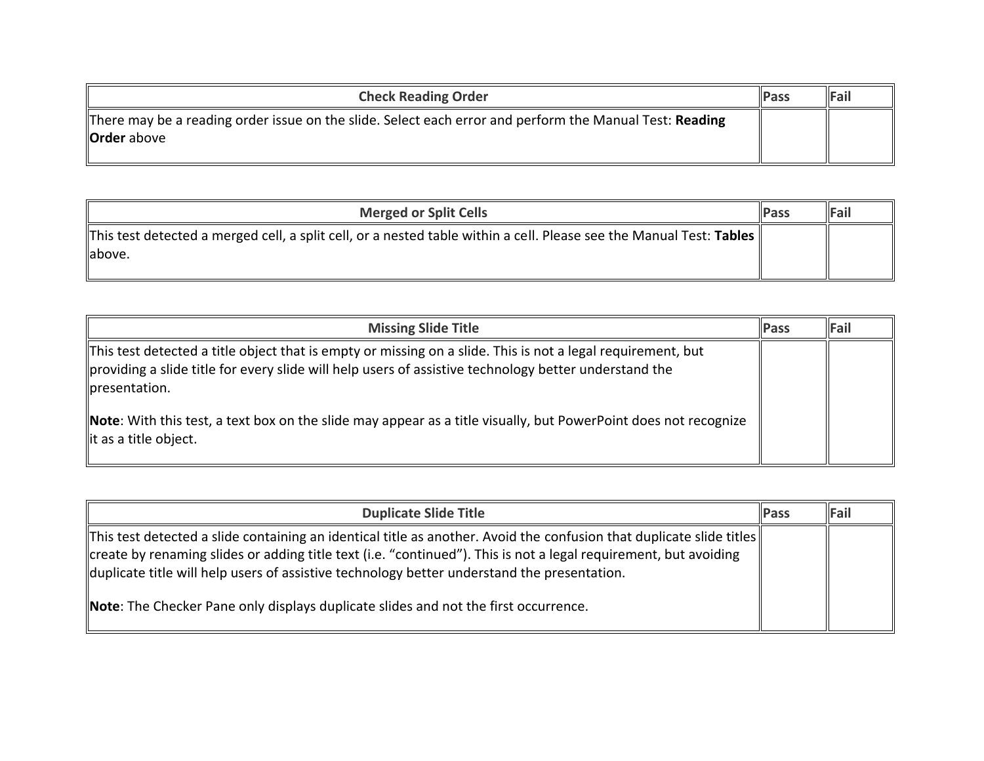| <b>Check Reading Order</b>                                                                                                    | <b>IPass</b> | Fail |
|-------------------------------------------------------------------------------------------------------------------------------|--------------|------|
| There may be a reading order issue on the slide. Select each error and perform the Manual Test: Reading<br><b>Order</b> above |              |      |
|                                                                                                                               |              |      |

| <b>Merged or Split Cells</b>                                                                                        | <b>IPass</b> | Fail |
|---------------------------------------------------------------------------------------------------------------------|--------------|------|
| This test detected a merged cell, a split cell, or a nested table within a cell. Please see the Manual Test: Tables |              |      |
| llabove.                                                                                                            |              |      |

| <b>Missing Slide Title</b>                                                                                                                                                                                                            | <b>IPass</b> | Fail |
|---------------------------------------------------------------------------------------------------------------------------------------------------------------------------------------------------------------------------------------|--------------|------|
| This test detected a title object that is empty or missing on a slide. This is not a legal requirement, but<br>providing a slide title for every slide will help users of assistive technology better understand the<br>presentation. |              |      |
| <b>Note</b> : With this test, a text box on the slide may appear as a title visually, but PowerPoint does not recognize<br>lit as a title object.                                                                                     |              |      |

| <b>Duplicate Slide Title</b>                                                                                                                                                                                                                                                                                                                 | <b>Pass</b> | <b>IFail</b> |
|----------------------------------------------------------------------------------------------------------------------------------------------------------------------------------------------------------------------------------------------------------------------------------------------------------------------------------------------|-------------|--------------|
| This test detected a slide containing an identical title as another. Avoid the confusion that duplicate slide titles $  $<br>create by renaming slides or adding title text (i.e. "continued"). This is not a legal requirement, but avoiding<br>duplicate title will help users of assistive technology better understand the presentation. |             |              |
| Note: The Checker Pane only displays duplicate slides and not the first occurrence.                                                                                                                                                                                                                                                          |             |              |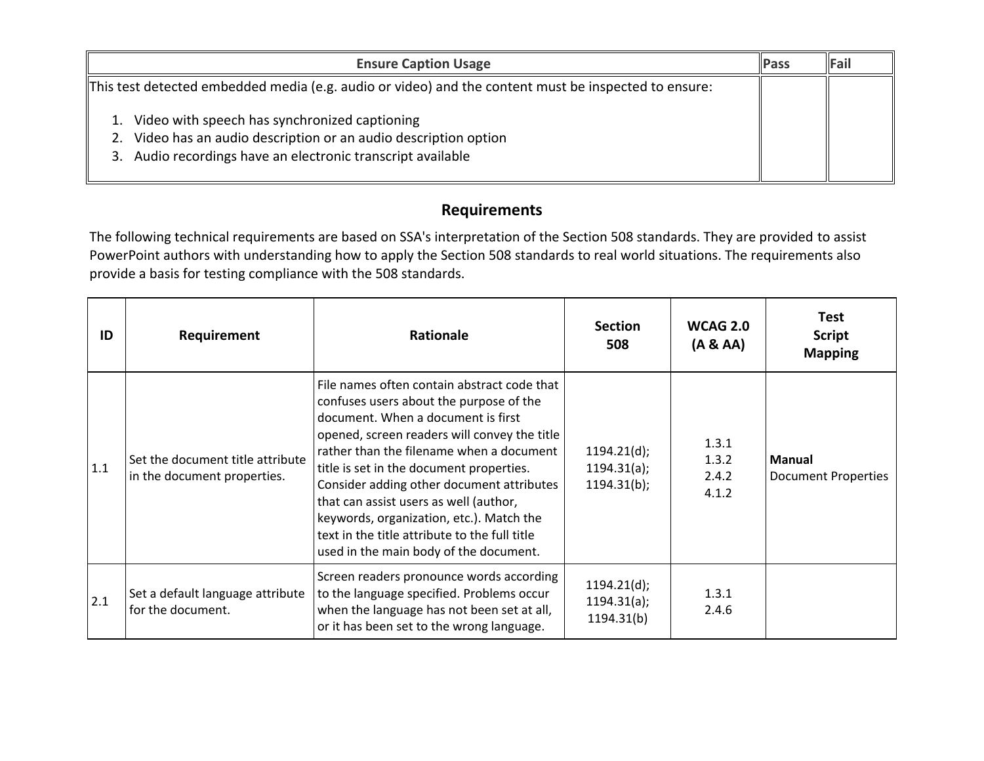| <b>Ensure Caption Usage</b>                                                                                                                                                               | Pass | Fail |
|-------------------------------------------------------------------------------------------------------------------------------------------------------------------------------------------|------|------|
| This test detected embedded media (e.g. audio or video) and the content must be inspected to ensure:                                                                                      |      |      |
| 1. Video with speech has synchronized captioning<br>Video has an audio description or an audio description option<br>2.<br>Audio recordings have an electronic transcript available<br>3. |      |      |

### **Requirements**

The following technical requirements are based on SSA's interpretation of the Section 508 standards. They are provided to assist PowerPoint authors with understanding how to apply the Section 508 standards to real world situations. The requirements also provide a basis for testing compliance with the 508 standards.

| ID  | Requirement                                                     | <b>Rationale</b>                                                                                                                                                                                                                                                                                                                                                                                                                                                                                   | <b>Section</b><br>508                     | <b>WCAG 2.0</b><br>(A & A)       | <b>Test</b><br><b>Script</b><br><b>Mapping</b> |
|-----|-----------------------------------------------------------------|----------------------------------------------------------------------------------------------------------------------------------------------------------------------------------------------------------------------------------------------------------------------------------------------------------------------------------------------------------------------------------------------------------------------------------------------------------------------------------------------------|-------------------------------------------|----------------------------------|------------------------------------------------|
| 1.1 | Set the document title attribute<br>in the document properties. | File names often contain abstract code that<br>confuses users about the purpose of the<br>document. When a document is first<br>opened, screen readers will convey the title<br>rather than the filename when a document<br>title is set in the document properties.<br>Consider adding other document attributes<br>that can assist users as well (author,<br>keywords, organization, etc.). Match the<br>text in the title attribute to the full title<br>used in the main body of the document. | 1194.21(d);<br>1194.31(a);<br>1194.31(b); | 1.3.1<br>1.3.2<br>2.4.2<br>4.1.2 | <b>Manual</b><br><b>Document Properties</b>    |
| 2.1 | Set a default language attribute<br>for the document.           | Screen readers pronounce words according<br>to the language specified. Problems occur<br>when the language has not been set at all,<br>or it has been set to the wrong language.                                                                                                                                                                                                                                                                                                                   | 1194.21(d);<br>1194.31(a);<br>1194.31(b)  | 1.3.1<br>2.4.6                   |                                                |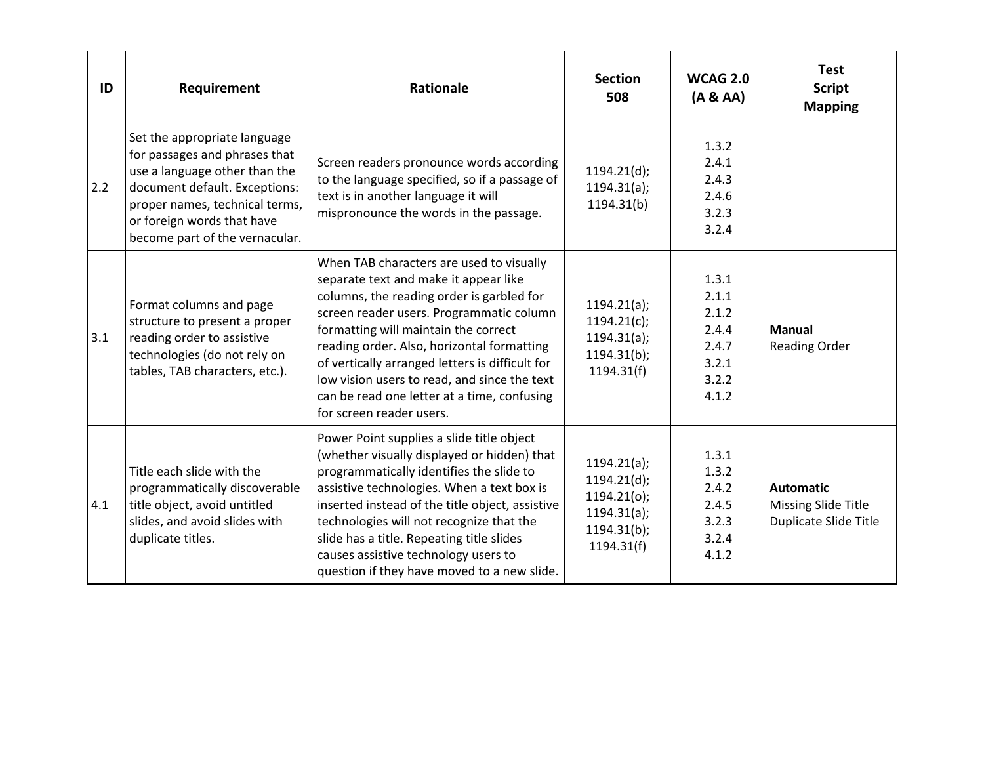| ID  | Requirement                                                                                                                                                                                                                       | Rationale                                                                                                                                                                                                                                                                                                                                                                                                                                      | <b>Section</b><br>508                                                                    | <b>WCAG 2.0</b><br>(A & A)                                           | <b>Test</b><br><b>Script</b><br><b>Mapping</b>                   |
|-----|-----------------------------------------------------------------------------------------------------------------------------------------------------------------------------------------------------------------------------------|------------------------------------------------------------------------------------------------------------------------------------------------------------------------------------------------------------------------------------------------------------------------------------------------------------------------------------------------------------------------------------------------------------------------------------------------|------------------------------------------------------------------------------------------|----------------------------------------------------------------------|------------------------------------------------------------------|
| 2.2 | Set the appropriate language<br>for passages and phrases that<br>use a language other than the<br>document default. Exceptions:<br>proper names, technical terms,<br>or foreign words that have<br>become part of the vernacular. | Screen readers pronounce words according<br>to the language specified, so if a passage of<br>text is in another language it will<br>mispronounce the words in the passage.                                                                                                                                                                                                                                                                     | 1194.21(d);<br>1194.31(a);<br>1194.31(b)                                                 | 1.3.2<br>2.4.1<br>2.4.3<br>2.4.6<br>3.2.3<br>3.2.4                   |                                                                  |
| 3.1 | Format columns and page<br>structure to present a proper<br>reading order to assistive<br>technologies (do not rely on<br>tables, TAB characters, etc.).                                                                          | When TAB characters are used to visually<br>separate text and make it appear like<br>columns, the reading order is garbled for<br>screen reader users. Programmatic column<br>formatting will maintain the correct<br>reading order. Also, horizontal formatting<br>of vertically arranged letters is difficult for<br>low vision users to read, and since the text<br>can be read one letter at a time, confusing<br>for screen reader users. | 1194.21(a);<br>$1194.21(c)$ ;<br>1194.31(a);<br>1194.31(b);<br>1194.31(f)                | 1.3.1<br>2.1.1<br>2.1.2<br>2.4.4<br>2.4.7<br>3.2.1<br>3.2.2<br>4.1.2 | <b>Manual</b><br><b>Reading Order</b>                            |
| 4.1 | Title each slide with the<br>programmatically discoverable<br>title object, avoid untitled<br>slides, and avoid slides with<br>duplicate titles.                                                                                  | Power Point supplies a slide title object<br>(whether visually displayed or hidden) that<br>programmatically identifies the slide to<br>assistive technologies. When a text box is<br>inserted instead of the title object, assistive<br>technologies will not recognize that the<br>slide has a title. Repeating title slides<br>causes assistive technology users to<br>question if they have moved to a new slide.                          | 1194.21(a);<br>1194.21(d);<br>1194.21(0);<br>1194.31(a);<br>$1194.31(b)$ ;<br>1194.31(f) | 1.3.1<br>1.3.2<br>2.4.2<br>2.4.5<br>3.2.3<br>3.2.4<br>4.1.2          | <b>Automatic</b><br>Missing Slide Title<br>Duplicate Slide Title |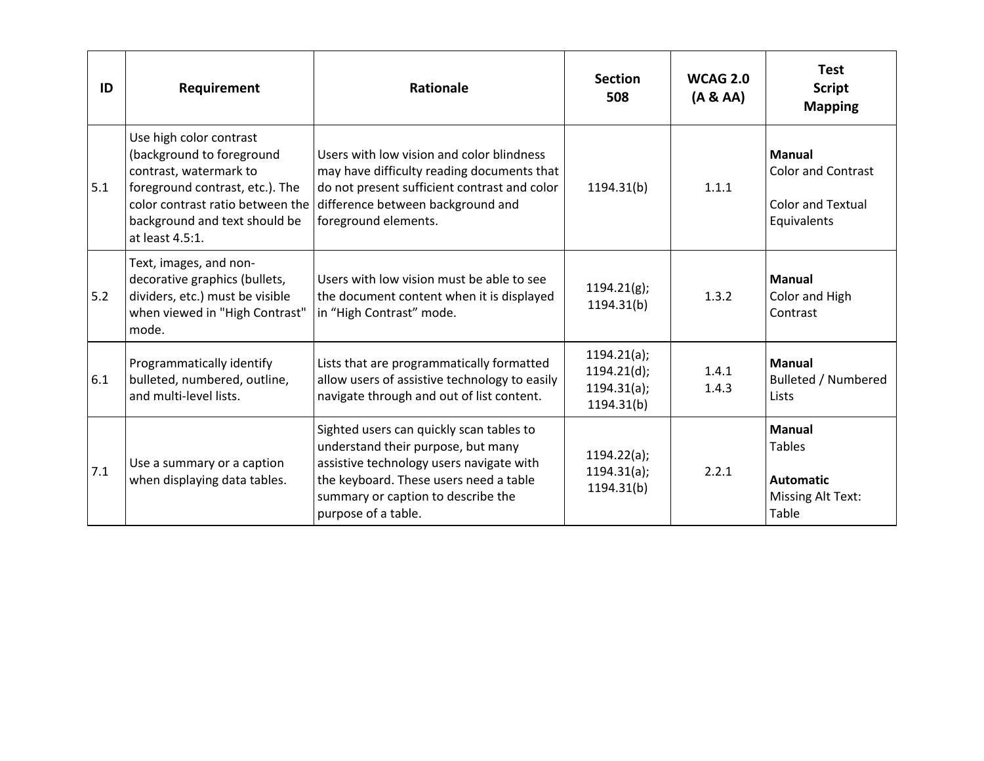| ID  | Requirement                                                                                                                                                                                               | Rationale                                                                                                                                                                                                                         | <b>Section</b><br>508                                   | <b>WCAG 2.0</b><br>(A & A) | <b>Test</b><br><b>Script</b><br><b>Mapping</b>                                          |
|-----|-----------------------------------------------------------------------------------------------------------------------------------------------------------------------------------------------------------|-----------------------------------------------------------------------------------------------------------------------------------------------------------------------------------------------------------------------------------|---------------------------------------------------------|----------------------------|-----------------------------------------------------------------------------------------|
| 5.1 | Use high color contrast<br>(background to foreground<br>contrast, watermark to<br>foreground contrast, etc.). The<br>color contrast ratio between the<br>background and text should be<br>at least 4.5:1. | Users with low vision and color blindness<br>may have difficulty reading documents that<br>do not present sufficient contrast and color<br>difference between background and<br>foreground elements.                              | 1194.31(b)                                              | 1.1.1                      | <b>Manual</b><br><b>Color and Contrast</b><br><b>Color and Textual</b><br>Equivalents   |
| 5.2 | Text, images, and non-<br>decorative graphics (bullets,<br>dividers, etc.) must be visible<br>when viewed in "High Contrast"<br>mode.                                                                     | Users with low vision must be able to see<br>the document content when it is displayed<br>in "High Contrast" mode.                                                                                                                | $1194.21(g)$ ;<br>1194.31(b)                            | 1.3.2                      | <b>Manual</b><br>Color and High<br>Contrast                                             |
| 6.1 | Programmatically identify<br>bulleted, numbered, outline,<br>and multi-level lists.                                                                                                                       | Lists that are programmatically formatted<br>allow users of assistive technology to easily<br>navigate through and out of list content.                                                                                           | 1194.21(a);<br>1194.21(d);<br>1194.31(a);<br>1194.31(b) | 1.4.1<br>1.4.3             | <b>Manual</b><br><b>Bulleted / Numbered</b><br>Lists                                    |
| 7.1 | Use a summary or a caption<br>when displaying data tables.                                                                                                                                                | Sighted users can quickly scan tables to<br>understand their purpose, but many<br>assistive technology users navigate with<br>the keyboard. These users need a table<br>summary or caption to describe the<br>purpose of a table. | 1194.22(a);<br>1194.31(a);<br>1194.31(b)                | 2.2.1                      | <b>Manual</b><br><b>Tables</b><br><b>Automatic</b><br><b>Missing Alt Text:</b><br>Table |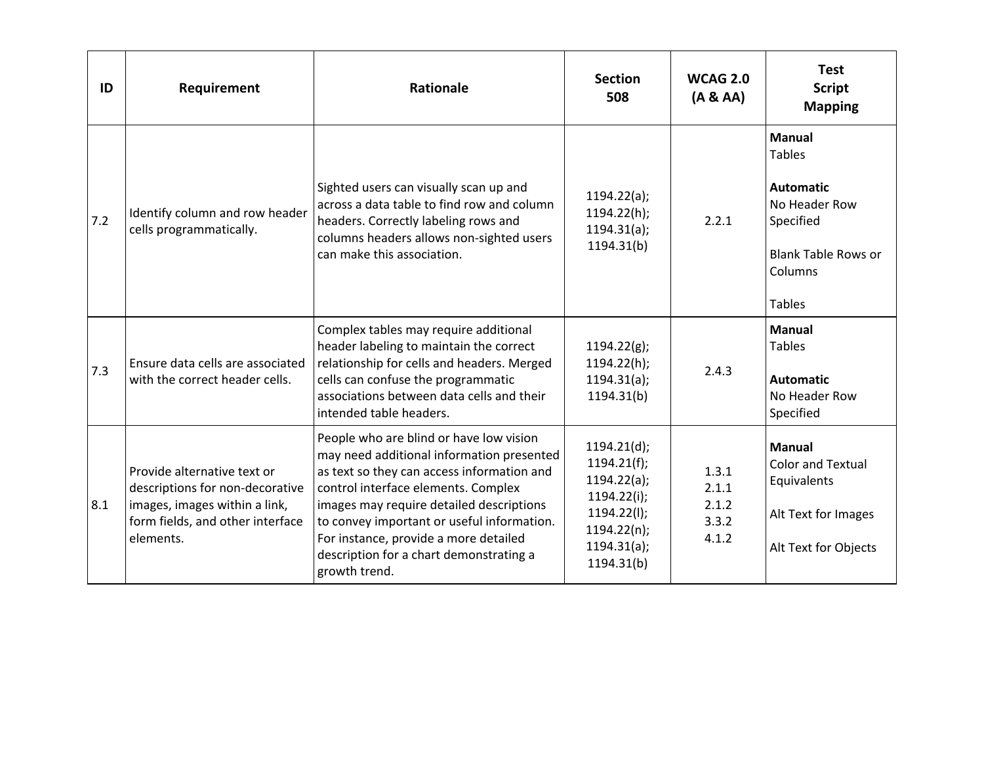| ID  | Requirement                                                                                                                                      | <b>Rationale</b>                                                                                                                                                                                                                                                                                                                                                         | <b>Section</b><br>508                                                                                                     | <b>WCAG 2.0</b><br>(A & A)                | <b>Test</b><br><b>Script</b><br><b>Mapping</b>                                                                                             |
|-----|--------------------------------------------------------------------------------------------------------------------------------------------------|--------------------------------------------------------------------------------------------------------------------------------------------------------------------------------------------------------------------------------------------------------------------------------------------------------------------------------------------------------------------------|---------------------------------------------------------------------------------------------------------------------------|-------------------------------------------|--------------------------------------------------------------------------------------------------------------------------------------------|
| 7.2 | Identify column and row header<br>cells programmatically.                                                                                        | Sighted users can visually scan up and<br>across a data table to find row and column<br>headers. Correctly labeling rows and<br>columns headers allows non-sighted users<br>can make this association.                                                                                                                                                                   | 1194.22(a);<br>1194.22(h);<br>1194.31(a);<br>1194.31(b)                                                                   | 2.2.1                                     | <b>Manual</b><br><b>Tables</b><br><b>Automatic</b><br>No Header Row<br>Specified<br><b>Blank Table Rows or</b><br>Columns<br><b>Tables</b> |
| 7.3 | Ensure data cells are associated<br>with the correct header cells.                                                                               | Complex tables may require additional<br>header labeling to maintain the correct<br>relationship for cells and headers. Merged<br>cells can confuse the programmatic<br>associations between data cells and their<br>intended table headers.                                                                                                                             | 1194.22(g);<br>1194.22(h);<br>1194.31(a);<br>1194.31(b)                                                                   | 2.4.3                                     | <b>Manual</b><br><b>Tables</b><br><b>Automatic</b><br>No Header Row<br>Specified                                                           |
| 8.1 | Provide alternative text or<br>descriptions for non-decorative<br>images, images within a link,<br>form fields, and other interface<br>elements. | People who are blind or have low vision<br>may need additional information presented<br>as text so they can access information and<br>control interface elements. Complex<br>images may require detailed descriptions<br>to convey important or useful information.<br>For instance, provide a more detailed<br>description for a chart demonstrating a<br>growth trend. | 1194.21(d);<br>$1194.21(f)$ ;<br>1194.22(a);<br>1194.22(i);<br>1194.22(l);<br>$1194.22(n)$ ;<br>1194.31(a);<br>1194.31(b) | 1.3.1<br>2.1.1<br>2.1.2<br>3.3.2<br>4.1.2 | <b>Manual</b><br><b>Color and Textual</b><br>Equivalents<br>Alt Text for Images<br>Alt Text for Objects                                    |